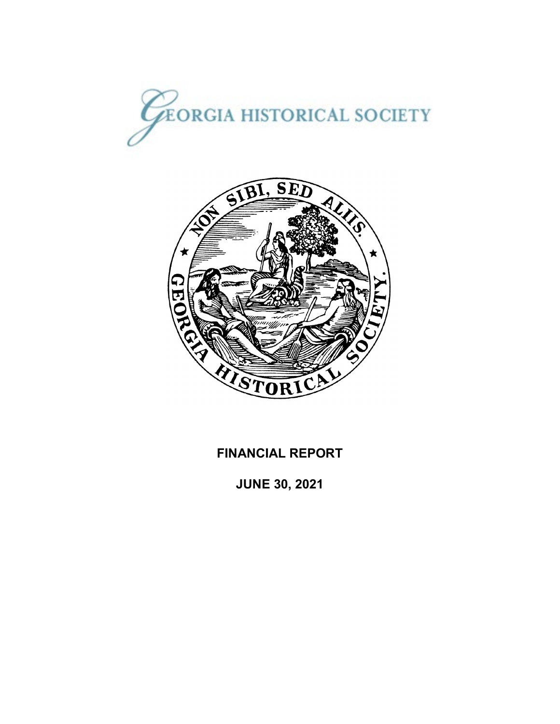



# **FINANCIAL REPORT**

**JUNE 30, 2021**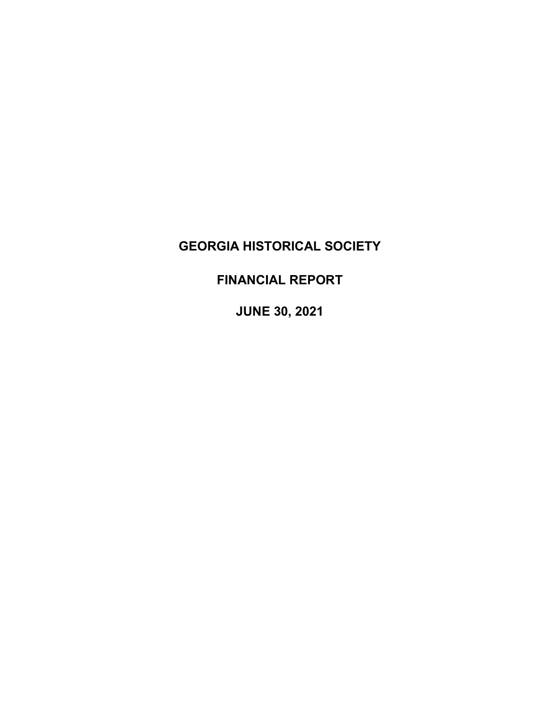# **FINANCIAL REPORT**

**JUNE 30, 2021**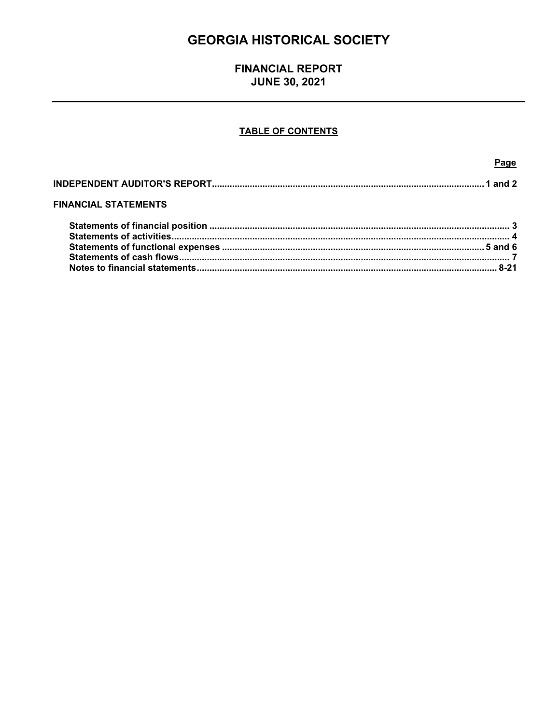# **FINANCIAL REPORT JUNE 30, 2021**

## **TABLE OF CONTENTS**

Page

| <b>FINANCIAL STATEMENTS</b> |  |
|-----------------------------|--|
|                             |  |
|                             |  |
|                             |  |
|                             |  |
|                             |  |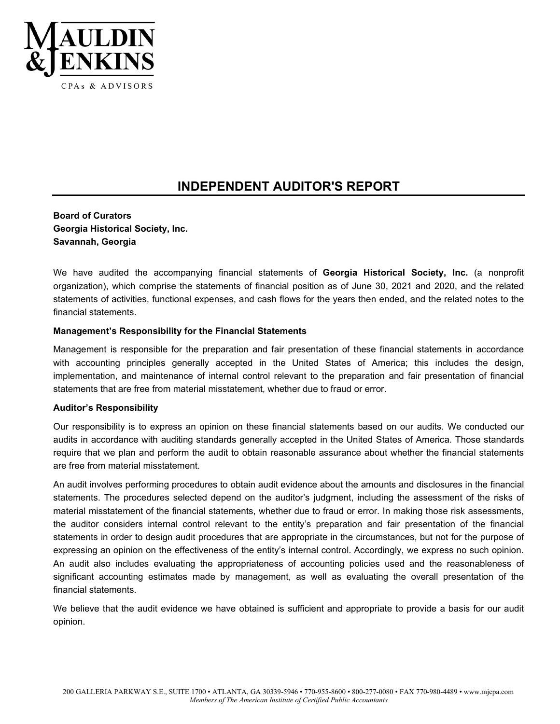

# **INDEPENDENT AUDITOR'S REPORT**

### **Board of Curators Georgia Historical Society, Inc. Savannah, Georgia**

We have audited the accompanying financial statements of **Georgia Historical Society, Inc.** (a nonprofit organization), which comprise the statements of financial position as of June 30, 2021 and 2020, and the related statements of activities, functional expenses, and cash flows for the years then ended, and the related notes to the financial statements.

#### **Management's Responsibility for the Financial Statements**

Management is responsible for the preparation and fair presentation of these financial statements in accordance with accounting principles generally accepted in the United States of America; this includes the design, implementation, and maintenance of internal control relevant to the preparation and fair presentation of financial statements that are free from material misstatement, whether due to fraud or error.

#### **Auditor's Responsibility**

Our responsibility is to express an opinion on these financial statements based on our audits. We conducted our audits in accordance with auditing standards generally accepted in the United States of America. Those standards require that we plan and perform the audit to obtain reasonable assurance about whether the financial statements are free from material misstatement.

An audit involves performing procedures to obtain audit evidence about the amounts and disclosures in the financial statements. The procedures selected depend on the auditor's judgment, including the assessment of the risks of material misstatement of the financial statements, whether due to fraud or error. In making those risk assessments, the auditor considers internal control relevant to the entity's preparation and fair presentation of the financial statements in order to design audit procedures that are appropriate in the circumstances, but not for the purpose of expressing an opinion on the effectiveness of the entity's internal control. Accordingly, we express no such opinion. An audit also includes evaluating the appropriateness of accounting policies used and the reasonableness of significant accounting estimates made by management, as well as evaluating the overall presentation of the financial statements.

We believe that the audit evidence we have obtained is sufficient and appropriate to provide a basis for our audit opinion.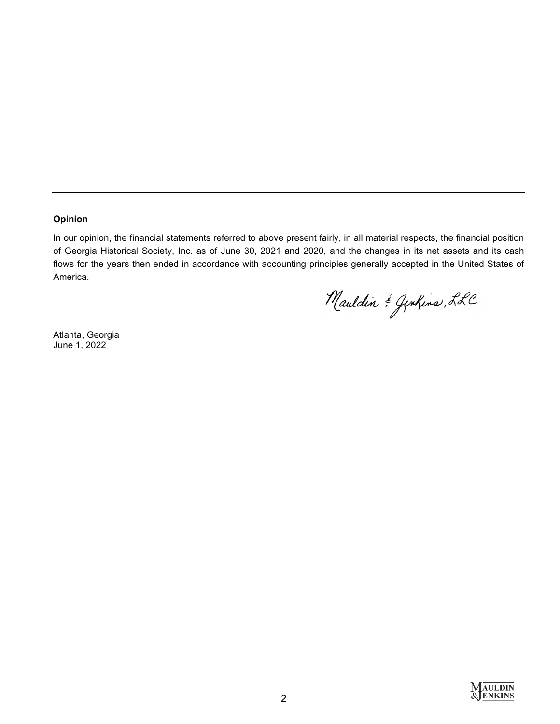#### **Opinion**

In our opinion, the financial statements referred to above present fairly, in all material respects, the financial position of Georgia Historical Society, Inc. as of June 30, 2021 and 2020, and the changes in its net assets and its cash flows for the years then ended in accordance with accounting principles generally accepted in the United States of America.

Mauldin & Gentins, LLC

Atlanta, Georgia June 1, 2022

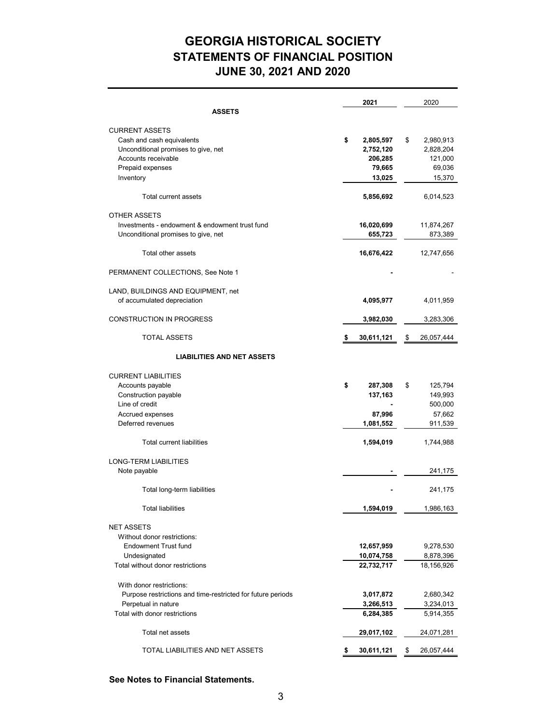# **GEORGIA HISTORICAL SOCIETY JUNE 30, 2021 AND 2020 STATEMENTS OF FINANCIAL POSITION**

|                                                                                                                                                                       | 2021                                                         | 2020                                                                  |
|-----------------------------------------------------------------------------------------------------------------------------------------------------------------------|--------------------------------------------------------------|-----------------------------------------------------------------------|
| <b>ASSETS</b>                                                                                                                                                         |                                                              |                                                                       |
| <b>CURRENT ASSETS</b><br>Cash and cash equivalents<br>Unconditional promises to give, net<br>Accounts receivable<br>Prepaid expenses<br>Inventory                     | \$<br>2,805,597<br>2,752,120<br>206,285<br>79,665<br>13,025  | \$<br>2,980,913<br>2,828,204<br>121,000<br>69,036<br>15,370           |
| Total current assets                                                                                                                                                  | 5,856,692                                                    | 6,014,523                                                             |
| <b>OTHER ASSETS</b><br>Investments - endowment & endowment trust fund<br>Unconditional promises to give, net                                                          | 16,020,699<br>655,723                                        | 11,874,267<br>873,389                                                 |
| Total other assets                                                                                                                                                    | 16,676,422                                                   | 12,747,656                                                            |
| PERMANENT COLLECTIONS, See Note 1                                                                                                                                     |                                                              |                                                                       |
| LAND, BUILDINGS AND EQUIPMENT, net<br>of accumulated depreciation                                                                                                     | 4,095,977                                                    | 4,011,959                                                             |
| <b>CONSTRUCTION IN PROGRESS</b>                                                                                                                                       | 3,982,030                                                    | 3,283,306                                                             |
| <b>TOTAL ASSETS</b>                                                                                                                                                   | 30,611,121                                                   | \$<br>26,057,444                                                      |
| <b>LIABILITIES AND NET ASSETS</b>                                                                                                                                     |                                                              |                                                                       |
| <b>CURRENT LIABILITIES</b><br>Accounts payable<br>Construction payable<br>Line of credit<br>Accrued expenses<br>Deferred revenues<br><b>Total current liabilities</b> | \$<br>287,308<br>137,163<br>87,996<br>1,081,552<br>1,594,019 | \$<br>125,794<br>149,993<br>500,000<br>57,662<br>911,539<br>1,744,988 |
| <b>LONG-TERM LIABILITIES</b>                                                                                                                                          |                                                              |                                                                       |
| Note payable                                                                                                                                                          |                                                              | 241,175                                                               |
| Total long-term liabilities                                                                                                                                           |                                                              | 241,175                                                               |
| Total liabilities                                                                                                                                                     | 1,594,019                                                    | 1,986,163                                                             |
| <b>NET ASSETS</b><br>Without donor restrictions:<br><b>Endowment Trust fund</b>                                                                                       | 12,657,959                                                   | 9,278,530                                                             |
| Undesignated                                                                                                                                                          | 10,074,758                                                   | 8,878,396                                                             |
| Total without donor restrictions<br>With donor restrictions:                                                                                                          | 22,732,717                                                   | 18,156,926                                                            |
| Purpose restrictions and time-restricted for future periods                                                                                                           | 3,017,872                                                    | 2,680,342                                                             |
| Perpetual in nature                                                                                                                                                   | 3,266,513                                                    | 3,234,013                                                             |
| Total with donor restrictions                                                                                                                                         | 6,284,385                                                    | 5,914,355                                                             |
| Total net assets                                                                                                                                                      | 29,017,102                                                   | 24,071,281                                                            |
| TOTAL LIABILITIES AND NET ASSETS                                                                                                                                      | \$<br>30,611,121                                             | \$<br>26,057,444                                                      |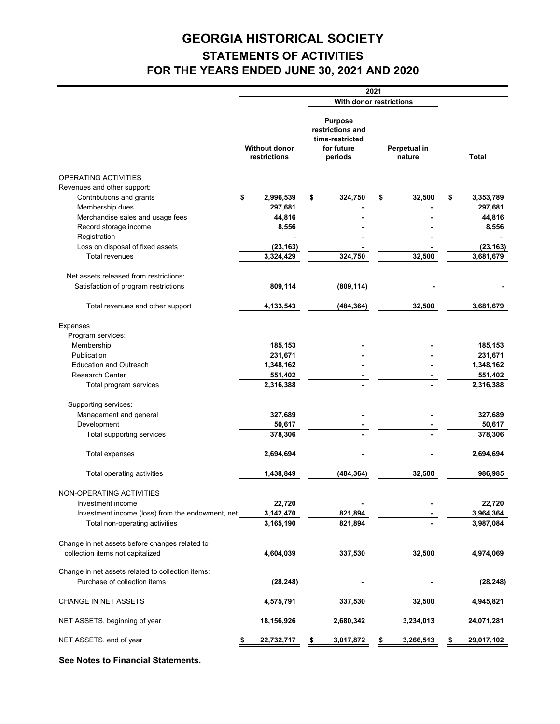# **GEORGIA HISTORICAL SOCIETY STATEMENTS OF ACTIVITIES FOR THE YEARS ENDED JUNE 30, 2021 AND 2020**

|                                                                                    |                                      |                                                                                | 2021                   |           |                 |
|------------------------------------------------------------------------------------|--------------------------------------|--------------------------------------------------------------------------------|------------------------|-----------|-----------------|
|                                                                                    |                                      | With donor restrictions                                                        |                        |           |                 |
|                                                                                    | <b>Without donor</b><br>restrictions | <b>Purpose</b><br>restrictions and<br>time-restricted<br>for future<br>periods | Perpetual in<br>nature |           | <b>Total</b>    |
| OPERATING ACTIVITIES                                                               |                                      |                                                                                |                        |           |                 |
| Revenues and other support:                                                        |                                      |                                                                                |                        |           |                 |
| Contributions and grants                                                           | \$<br>2,996,539                      | \$<br>324,750                                                                  | \$                     | 32,500    | \$<br>3,353,789 |
| Membership dues                                                                    | 297,681                              |                                                                                |                        |           | 297,681         |
| Merchandise sales and usage fees                                                   | 44,816                               |                                                                                |                        |           | 44,816          |
| Record storage income                                                              | 8,556                                |                                                                                |                        |           | 8,556           |
| Registration                                                                       |                                      |                                                                                |                        |           |                 |
| Loss on disposal of fixed assets                                                   | (23, 163)                            |                                                                                |                        |           | (23, 163)       |
| <b>Total revenues</b>                                                              | 3,324,429                            | 324,750                                                                        |                        | 32,500    | 3,681,679       |
|                                                                                    |                                      |                                                                                |                        |           |                 |
| Net assets released from restrictions:                                             |                                      |                                                                                |                        |           |                 |
| Satisfaction of program restrictions                                               | 809,114                              | (809, 114)                                                                     |                        |           |                 |
|                                                                                    |                                      |                                                                                |                        |           |                 |
| Total revenues and other support                                                   | 4,133,543                            | (484, 364)                                                                     |                        | 32,500    | 3,681,679       |
|                                                                                    |                                      |                                                                                |                        |           |                 |
| Expenses                                                                           |                                      |                                                                                |                        |           |                 |
| Program services:                                                                  |                                      |                                                                                |                        |           |                 |
| Membership<br>Publication                                                          | 185,153                              |                                                                                |                        |           | 185,153         |
|                                                                                    | 231,671                              |                                                                                |                        |           | 231,671         |
| <b>Education and Outreach</b>                                                      | 1,348,162                            |                                                                                |                        |           | 1,348,162       |
| <b>Research Center</b>                                                             | 551,402                              |                                                                                |                        |           | 551,402         |
| Total program services                                                             | 2,316,388                            | $\blacksquare$                                                                 |                        | ÷.        | 2,316,388       |
| Supporting services:                                                               |                                      |                                                                                |                        |           |                 |
| Management and general                                                             | 327,689                              |                                                                                |                        |           | 327,689         |
| Development                                                                        | 50,617                               |                                                                                |                        |           | 50,617          |
| Total supporting services                                                          | 378,306                              | ÷.                                                                             |                        |           | 378,306         |
| <b>Total expenses</b>                                                              | 2,694,694                            |                                                                                |                        |           | 2,694,694       |
| Total operating activities                                                         | 1,438,849                            | (484, 364)                                                                     |                        | 32,500    | 986,985         |
|                                                                                    |                                      |                                                                                |                        |           |                 |
| NON-OPERATING ACTIVITIES                                                           |                                      |                                                                                |                        |           |                 |
| Investment income                                                                  | 22,720                               |                                                                                |                        |           | 22,720          |
| Investment income (loss) from the endowment, net                                   | 3,142,470                            | 821,894                                                                        |                        |           | 3,964,364       |
| Total non-operating activities                                                     | 3,165,190                            | 821,894                                                                        |                        |           | 3,987,084       |
| Change in net assets before changes related to<br>collection items not capitalized | 4,604,039                            | 337,530                                                                        |                        | 32,500    | 4,974,069       |
|                                                                                    |                                      |                                                                                |                        |           |                 |
| Change in net assets related to collection items:<br>Purchase of collection items  | (28, 248)                            |                                                                                |                        |           | (28, 248)       |
| CHANGE IN NET ASSETS                                                               | 4,575,791                            | 337,530                                                                        |                        | 32,500    | 4,945,821       |
| NET ASSETS, beginning of year                                                      | 18,156,926                           | 2,680,342                                                                      |                        | 3,234,013 | 24,071,281      |
| NET ASSETS, end of year                                                            | 22,732,717                           | \$<br>3,017,872                                                                |                        | 3,266,513 | 29,017,102      |
|                                                                                    |                                      |                                                                                |                        |           |                 |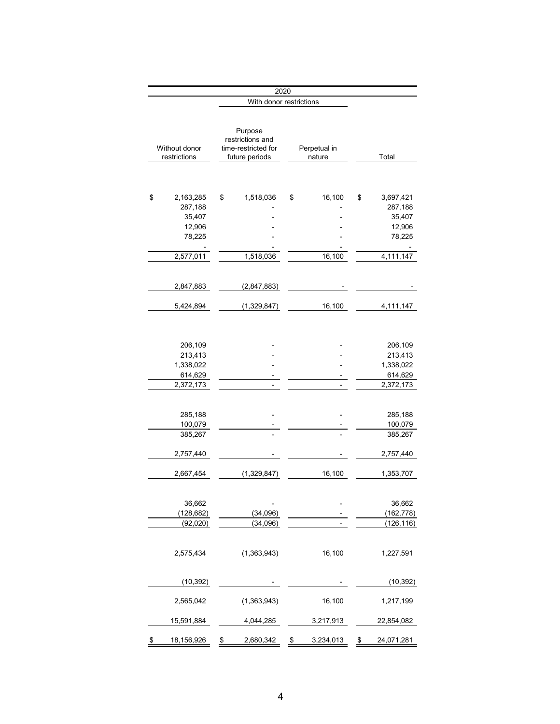|                                                                       |               | 2020                                                                 |               |                        |                                                                       |
|-----------------------------------------------------------------------|---------------|----------------------------------------------------------------------|---------------|------------------------|-----------------------------------------------------------------------|
|                                                                       |               | With donor restrictions                                              |               |                        |                                                                       |
| Without donor<br>restrictions                                         |               | Purpose<br>restrictions and<br>time-restricted for<br>future periods |               | Perpetual in<br>nature | Total                                                                 |
|                                                                       |               |                                                                      |               |                        |                                                                       |
| \$<br>2,163,285<br>287,188<br>35,407<br>12,906<br>78,225<br>2,577,011 | \$            | 1,518,036<br>1,518,036                                               | \$            | 16,100<br>16,100       | \$<br>3,697,421<br>287,188<br>35,407<br>12,906<br>78,225<br>4,111,147 |
|                                                                       |               |                                                                      |               |                        |                                                                       |
| 2,847,883<br>5,424,894                                                |               | (2,847,883)<br>(1,329,847)                                           |               | 16,100                 | 4,111,147                                                             |
|                                                                       |               |                                                                      |               |                        |                                                                       |
| 206,109<br>213,413<br>1,338,022<br>614,629                            |               |                                                                      |               |                        | 206,109<br>213,413<br>1,338,022<br>614,629                            |
| 2,372,173                                                             |               |                                                                      |               | ٠                      | 2,372,173                                                             |
| 285,188<br>100,079<br>385,267                                         |               | $\overline{a}$                                                       |               | -                      | 285,188<br>100,079<br>385,267                                         |
| 2,757,440                                                             |               |                                                                      |               |                        | 2,757,440                                                             |
| 2,667,454                                                             |               | (1,329,847)                                                          |               | 16,100                 | 1,353,707                                                             |
| 36,662<br>(128, 682)<br>(92, 020)                                     |               | (34,096)<br>(34,096)                                                 |               |                        | 36,662<br>(162,778)<br>(126, 116)                                     |
| 2,575,434                                                             |               | (1,363,943)                                                          |               | 16,100                 | 1,227,591                                                             |
| (10, 392)                                                             |               |                                                                      |               |                        | (10, 392)                                                             |
| 2,565,042                                                             |               | (1,363,943)                                                          |               | 16,100                 | 1,217,199                                                             |
| 15,591,884                                                            |               | 4,044,285                                                            |               | 3,217,913              | 22,854,082                                                            |
| \$<br>18,156,926                                                      | $\frac{2}{3}$ | 2,680,342                                                            | $\frac{3}{2}$ | 3,234,013              | \$<br>24,071,281                                                      |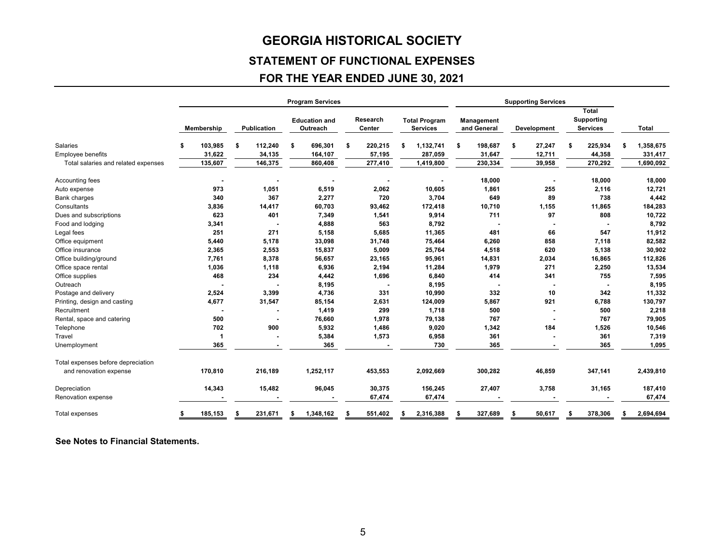# **STATEMENT OF FUNCTIONAL EXPENSES**

# **FOR THE YEAR ENDED JUNE 30, 2021**

|                                     |    |            |    |             |    | <b>Program Services</b>          |                    |                                         | <b>Supporting Services</b> |                           |    |             |    |                                               |           |
|-------------------------------------|----|------------|----|-------------|----|----------------------------------|--------------------|-----------------------------------------|----------------------------|---------------------------|----|-------------|----|-----------------------------------------------|-----------|
|                                     |    | Membership |    | Publication |    | <b>Education and</b><br>Outreach | Research<br>Center | <b>Total Program</b><br><b>Services</b> |                            | Management<br>and General |    | Development |    | <b>Total</b><br>Supporting<br><b>Services</b> | Total     |
| Salaries                            | \$ | 103,985    | \$ | 112,240     | \$ | 696,301                          | \$<br>220,215      | \$<br>1,132,741                         | \$                         | 198,687                   | \$ | 27,247      | \$ | 225,934                                       | 1,358,675 |
| <b>Employee benefits</b>            |    | 31,622     |    | 34,135      |    | 164,107                          | 57,195             | 287,059                                 |                            | 31,647                    |    | 12,711      |    | 44,358                                        | 331,417   |
| Total salaries and related expenses |    | 135,607    |    | 146,375     |    | 860,408                          | 277,410            | 1,419,800                               |                            | 230,334                   |    | 39,958      |    | 270,292                                       | 1,690,092 |
| Accounting fees                     |    |            |    |             |    |                                  |                    |                                         |                            | 18,000                    |    |             |    | 18,000                                        | 18,000    |
| Auto expense                        |    | 973        |    | 1,051       |    | 6,519                            | 2,062              | 10,605                                  |                            | 1,861                     |    | 255         |    | 2,116                                         | 12,721    |
| <b>Bank charges</b>                 |    | 340        |    | 367         |    | 2,277                            | 720                | 3,704                                   |                            | 649                       |    | 89          |    | 738                                           | 4,442     |
| Consultants                         |    | 3,836      |    | 14,417      |    | 60,703                           | 93,462             | 172,418                                 |                            | 10,710                    |    | 1,155       |    | 11,865                                        | 184,283   |
| Dues and subscriptions              |    | 623        |    | 401         |    | 7,349                            | 1,541              | 9,914                                   |                            | 711                       |    | 97          |    | 808                                           | 10,722    |
| Food and lodging                    |    | 3,341      |    |             |    | 4,888                            | 563                | 8,792                                   |                            |                           |    |             |    |                                               | 8,792     |
| Legal fees                          |    | 251        |    | 271         |    | 5,158                            | 5,685              | 11,365                                  |                            | 481                       |    | 66          |    | 547                                           | 11,912    |
| Office equipment                    |    | 5.440      |    | 5,178       |    | 33,098                           | 31,748             | 75,464                                  |                            | 6,260                     |    | 858         |    | 7,118                                         | 82,582    |
| Office insurance                    |    | 2,365      |    | 2,553       |    | 15,837                           | 5,009              | 25,764                                  |                            | 4,518                     |    | 620         |    | 5,138                                         | 30,902    |
| Office building/ground              |    | 7,761      |    | 8,378       |    | 56,657                           | 23,165             | 95,961                                  |                            | 14,831                    |    | 2,034       |    | 16,865                                        | 112,826   |
| Office space rental                 |    | 1,036      |    | 1,118       |    | 6,936                            | 2,194              | 11,284                                  |                            | 1,979                     |    | 271         |    | 2,250                                         | 13,534    |
| Office supplies                     |    | 468        |    | 234         |    | 4,442                            | 1,696              | 6,840                                   |                            | 414                       |    | 341         |    | 755                                           | 7,595     |
| Outreach                            |    |            |    |             |    | 8,195                            |                    | 8,195                                   |                            |                           |    |             |    |                                               | 8,195     |
| Postage and delivery                |    | 2,524      |    | 3,399       |    | 4,736                            | 331                | 10,990                                  |                            | 332                       |    | 10          |    | 342                                           | 11,332    |
| Printing, design and casting        |    | 4,677      |    | 31,547      |    | 85,154                           | 2,631              | 124,009                                 |                            | 5,867                     |    | 921         |    | 6,788                                         | 130,797   |
| Recruitment                         |    |            |    |             |    | 1,419                            | 299                | 1,718                                   |                            | 500                       |    |             |    | 500                                           | 2,218     |
| Rental, space and catering          |    | 500        |    |             |    | 76,660                           | 1,978              | 79,138                                  |                            | 767                       |    |             |    | 767                                           | 79,905    |
| Telephone                           |    | 702        |    | 900         |    | 5,932                            | 1,486              | 9,020                                   |                            | 1,342                     |    | 184         |    | 1,526                                         | 10,546    |
| Travel                              |    |            |    |             |    | 5,384                            | 1,573              | 6,958                                   |                            | 361                       |    |             |    | 361                                           | 7,319     |
| Unemployment                        |    | 365        |    |             |    | 365                              |                    | 730                                     |                            | 365                       |    |             |    | 365                                           | 1,095     |
| Total expenses before depreciation  |    |            |    |             |    |                                  |                    |                                         |                            |                           |    |             |    |                                               |           |
| and renovation expense              |    | 170,810    |    | 216,189     |    | 1,252,117                        | 453,553            | 2,092,669                               |                            | 300,282                   |    | 46,859      |    | 347,141                                       | 2,439,810 |
| Depreciation                        |    | 14,343     |    | 15,482      |    | 96,045                           | 30,375             | 156,245                                 |                            | 27,407                    |    | 3,758       |    | 31,165                                        | 187,410   |
| Renovation expense                  |    |            |    |             |    |                                  | 67,474             | 67,474                                  |                            |                           |    |             |    |                                               | 67,474    |
| Total expenses                      | S  | 185,153    | S  | 231,671     | S  | 1,348,162                        | 551,402            | 2,316,388                               | \$                         | 327,689                   |    | 50,617      |    | 378,306                                       | 2,694,694 |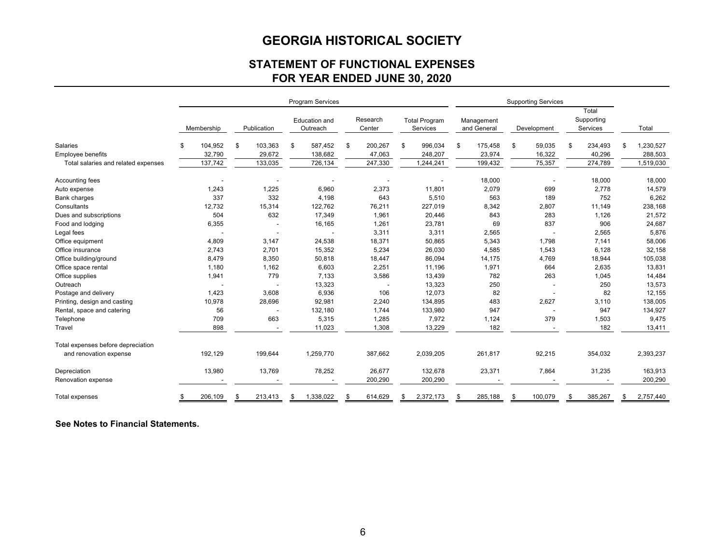# **STATEMENT OF FUNCTIONAL EXPENSES FOR YEAR ENDED JUNE 30, 2020**

|                                     |            |         |             |         | Program Services                 |     |                    |                                  | <b>Supporting Services</b> |         |             |         |                                 |         |                 |
|-------------------------------------|------------|---------|-------------|---------|----------------------------------|-----|--------------------|----------------------------------|----------------------------|---------|-------------|---------|---------------------------------|---------|-----------------|
|                                     | Membership |         | Publication |         | <b>Education and</b><br>Outreach |     | Research<br>Center | <b>Total Program</b><br>Services | Management<br>and General  |         | Development |         | Total<br>Supporting<br>Services |         | Total           |
| Salaries                            | \$         | 104,952 | \$          | 103,363 | \$<br>587,452                    | -\$ | 200,267            | \$<br>996,034                    | \$                         | 175,458 | \$          | 59,035  | \$                              | 234,493 | \$<br>1,230,527 |
| <b>Employee benefits</b>            |            | 32,790  |             | 29,672  | 138,682                          |     | 47,063             | 248,207                          |                            | 23,974  |             | 16,322  |                                 | 40,296  | 288,503         |
| Total salaries and related expenses |            | 137,742 |             | 133,035 | 726,134                          |     | 247,330            | 1,244,241                        |                            | 199,432 |             | 75,357  |                                 | 274,789 | 1,519,030       |
| Accounting fees                     |            |         |             |         |                                  |     |                    |                                  |                            | 18,000  |             |         |                                 | 18,000  | 18,000          |
| Auto expense                        |            | 1,243   |             | 1,225   | 6,960                            |     | 2,373              | 11,801                           |                            | 2,079   |             | 699     |                                 | 2,778   | 14,579          |
| <b>Bank charges</b>                 |            | 337     |             | 332     | 4,198                            |     | 643                | 5,510                            |                            | 563     |             | 189     |                                 | 752     | 6,262           |
| Consultants                         |            | 12,732  |             | 15,314  | 122,762                          |     | 76,211             | 227,019                          |                            | 8,342   |             | 2,807   |                                 | 11,149  | 238,168         |
| Dues and subscriptions              |            | 504     |             | 632     | 17,349                           |     | 1,961              | 20,446                           |                            | 843     |             | 283     |                                 | 1,126   | 21,572          |
| Food and lodging                    |            | 6,355   |             |         | 16,165                           |     | 1,261              | 23,781                           |                            | 69      |             | 837     |                                 | 906     | 24,687          |
| Legal fees                          |            |         |             |         |                                  |     | 3,311              | 3,311                            |                            | 2,565   |             |         |                                 | 2,565   | 5,876           |
| Office equipment                    |            | 4,809   |             | 3,147   | 24,538                           |     | 18,371             | 50,865                           |                            | 5,343   |             | 1,798   |                                 | 7,141   | 58,006          |
| Office insurance                    |            | 2,743   |             | 2,701   | 15,352                           |     | 5,234              | 26,030                           |                            | 4,585   |             | 1,543   |                                 | 6,128   | 32,158          |
| Office building/ground              |            | 8,479   |             | 8,350   | 50,818                           |     | 18,447             | 86,094                           |                            | 14,175  |             | 4,769   |                                 | 18,944  | 105,038         |
| Office space rental                 |            | 1,180   |             | 1,162   | 6,603                            |     | 2,251              | 11,196                           |                            | 1,971   |             | 664     |                                 | 2,635   | 13,831          |
| Office supplies                     |            | 1,941   |             | 779     | 7,133                            |     | 3,586              | 13,439                           |                            | 782     |             | 263     |                                 | 1,045   | 14,484          |
| Outreach                            |            |         |             |         | 13,323                           |     |                    | 13,323                           |                            | 250     |             |         |                                 | 250     | 13,573          |
| Postage and delivery                |            | 1,423   |             | 3,608   | 6,936                            |     | 106                | 12,073                           |                            | 82      |             |         |                                 | 82      | 12,155          |
| Printing, design and casting        |            | 10,978  |             | 28,696  | 92,981                           |     | 2,240              | 134,895                          |                            | 483     |             | 2,627   |                                 | 3,110   | 138,005         |
| Rental, space and catering          |            | 56      |             |         | 132,180                          |     | 1,744              | 133,980                          |                            | 947     |             |         |                                 | 947     | 134,927         |
| Telephone                           |            | 709     |             | 663     | 5,315                            |     | 1,285              | 7,972                            |                            | 1,124   |             | 379     |                                 | 1,503   | 9,475           |
| Travel                              |            | 898     |             |         | 11,023                           |     | 1,308              | 13,229                           |                            | 182     |             |         |                                 | 182     | 13,411          |
| Total expenses before depreciation  |            |         |             |         |                                  |     |                    |                                  |                            |         |             |         |                                 |         |                 |
| and renovation expense              |            | 192,129 |             | 199,644 | 1,259,770                        |     | 387,662            | 2,039,205                        |                            | 261,817 |             | 92,215  |                                 | 354,032 | 2,393,237       |
| Depreciation                        |            | 13,980  |             | 13,769  | 78,252                           |     | 26,677             | 132,678                          |                            | 23,371  |             | 7,864   |                                 | 31,235  | 163,913         |
| Renovation expense                  |            |         |             |         |                                  |     | 200,290            | 200,290                          |                            |         |             |         |                                 |         | 200,290         |
| Total expenses                      |            | 206,109 | \$          | 213,413 | \$<br>1,338,022                  | \$  | 614,629            | \$<br>2,372,173                  | \$                         | 285,188 |             | 100,079 | \$                              | 385,267 | \$<br>2,757,440 |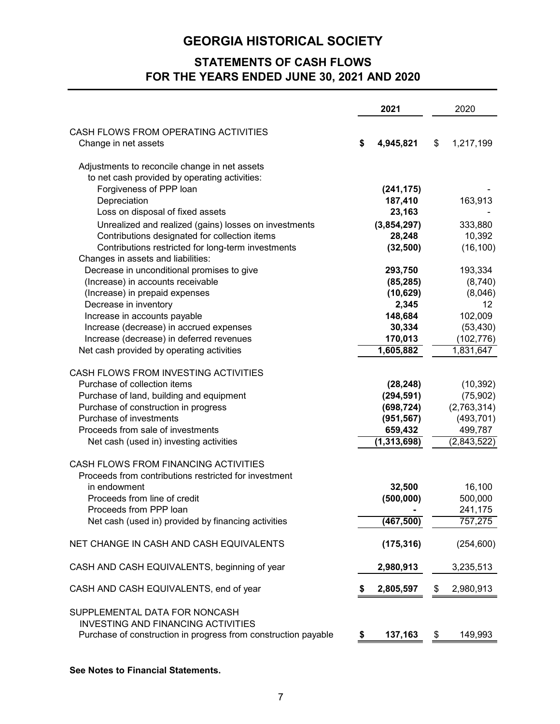# **STATEMENTS OF CASH FLOWS FOR THE YEARS ENDED JUNE 30, 2021 AND 2020**

|                                                                |    | 2021        | 2020            |
|----------------------------------------------------------------|----|-------------|-----------------|
| CASH FLOWS FROM OPERATING ACTIVITIES                           |    |             |                 |
| Change in net assets                                           | S  | 4,945,821   | \$<br>1,217,199 |
| Adjustments to reconcile change in net assets                  |    |             |                 |
| to net cash provided by operating activities:                  |    |             |                 |
| Forgiveness of PPP loan                                        |    | (241, 175)  |                 |
| Depreciation                                                   |    | 187,410     | 163,913         |
| Loss on disposal of fixed assets                               |    | 23,163      |                 |
| Unrealized and realized (gains) losses on investments          |    | (3,854,297) | 333,880         |
| Contributions designated for collection items                  |    | 28,248      | 10,392          |
| Contributions restricted for long-term investments             |    | (32, 500)   | (16, 100)       |
| Changes in assets and liabilities:                             |    |             |                 |
| Decrease in unconditional promises to give                     |    | 293,750     | 193,334         |
| (Increase) in accounts receivable                              |    | (85, 285)   | (8,740)         |
| (Increase) in prepaid expenses                                 |    | (10, 629)   | (8,046)         |
| Decrease in inventory                                          |    | 2,345       | 12              |
| Increase in accounts payable                                   |    | 148,684     | 102,009         |
| Increase (decrease) in accrued expenses                        |    | 30,334      | (53, 430)       |
| Increase (decrease) in deferred revenues                       |    | 170,013     | (102, 776)      |
| Net cash provided by operating activities                      |    | 1,605,882   | 1,831,647       |
|                                                                |    |             |                 |
| CASH FLOWS FROM INVESTING ACTIVITIES                           |    |             |                 |
| Purchase of collection items                                   |    | (28, 248)   | (10, 392)       |
| Purchase of land, building and equipment                       |    | (294, 591)  | (75, 902)       |
| Purchase of construction in progress                           |    | (698, 724)  | (2,763,314)     |
| Purchase of investments                                        |    | (951, 567)  | (493, 701)      |
| Proceeds from sale of investments                              |    | 659,432     | 499,787         |
| Net cash (used in) investing activities                        |    | (1,313,698) | (2,843,522)     |
| CASH FLOWS FROM FINANCING ACTIVITIES                           |    |             |                 |
| Proceeds from contributions restricted for investment          |    |             |                 |
| in endowment                                                   |    | 32,500      | 16,100          |
| Proceeds from line of credit                                   |    | (500, 000)  | 500,000         |
| Proceeds from PPP loan                                         |    |             | 241,175         |
| Net cash (used in) provided by financing activities            |    | (467, 500)  | 757,275         |
| NET CHANGE IN CASH AND CASH EQUIVALENTS                        |    | (175, 316)  | (254, 600)      |
|                                                                |    |             |                 |
| CASH AND CASH EQUIVALENTS, beginning of year                   |    | 2,980,913   | 3,235,513       |
| CASH AND CASH EQUIVALENTS, end of year                         | P  | 2,805,597   | \$<br>2,980,913 |
| SUPPLEMENTAL DATA FOR NONCASH                                  |    |             |                 |
| <b>INVESTING AND FINANCING ACTIVITIES</b>                      |    |             |                 |
| Purchase of construction in progress from construction payable | \$ | 137,163     | \$<br>149,993   |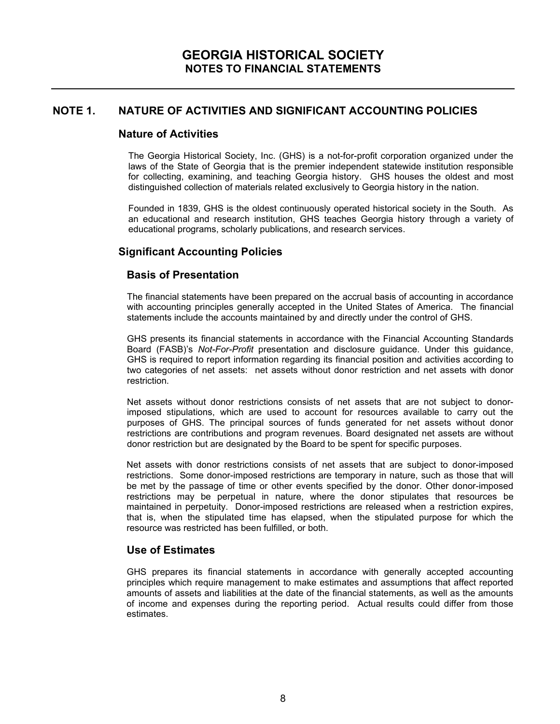### **Nature of Activities**

The Georgia Historical Society, Inc. (GHS) is a not-for-profit corporation organized under the laws of the State of Georgia that is the premier independent statewide institution responsible for collecting, examining, and teaching Georgia history. GHS houses the oldest and most distinguished collection of materials related exclusively to Georgia history in the nation.

Founded in 1839, GHS is the oldest continuously operated historical society in the South. As an educational and research institution, GHS teaches Georgia history through a variety of educational programs, scholarly publications, and research services.

# **Significant Accounting Policies**

#### **Basis of Presentation**

The financial statements have been prepared on the accrual basis of accounting in accordance with accounting principles generally accepted in the United States of America. The financial statements include the accounts maintained by and directly under the control of GHS.

GHS presents its financial statements in accordance with the Financial Accounting Standards Board (FASB)'s *Not-For-Profit* presentation and disclosure guidance. Under this guidance, GHS is required to report information regarding its financial position and activities according to two categories of net assets: net assets without donor restriction and net assets with donor restriction.

Net assets without donor restrictions consists of net assets that are not subject to donorimposed stipulations, which are used to account for resources available to carry out the purposes of GHS. The principal sources of funds generated for net assets without donor restrictions are contributions and program revenues. Board designated net assets are without donor restriction but are designated by the Board to be spent for specific purposes.

Net assets with donor restrictions consists of net assets that are subject to donor-imposed restrictions. Some donor-imposed restrictions are temporary in nature, such as those that will be met by the passage of time or other events specified by the donor. Other donor-imposed restrictions may be perpetual in nature, where the donor stipulates that resources be maintained in perpetuity. Donor-imposed restrictions are released when a restriction expires, that is, when the stipulated time has elapsed, when the stipulated purpose for which the resource was restricted has been fulfilled, or both.

### **Use of Estimates**

GHS prepares its financial statements in accordance with generally accepted accounting principles which require management to make estimates and assumptions that affect reported amounts of assets and liabilities at the date of the financial statements, as well as the amounts of income and expenses during the reporting period. Actual results could differ from those estimates.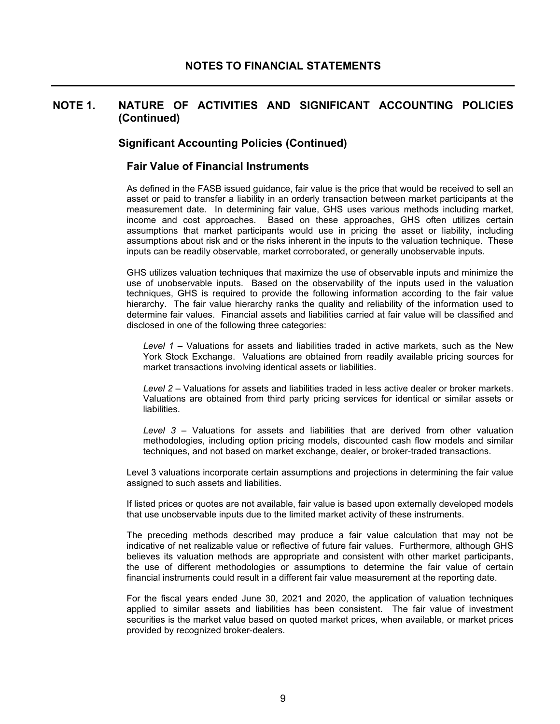#### **Significant Accounting Policies (Continued)**

#### **Fair Value of Financial Instruments**

As defined in the FASB issued guidance, fair value is the price that would be received to sell an asset or paid to transfer a liability in an orderly transaction between market participants at the measurement date. In determining fair value, GHS uses various methods including market, income and cost approaches. Based on these approaches, GHS often utilizes certain assumptions that market participants would use in pricing the asset or liability, including assumptions about risk and or the risks inherent in the inputs to the valuation technique. These inputs can be readily observable, market corroborated, or generally unobservable inputs.

GHS utilizes valuation techniques that maximize the use of observable inputs and minimize the use of unobservable inputs. Based on the observability of the inputs used in the valuation techniques, GHS is required to provide the following information according to the fair value hierarchy. The fair value hierarchy ranks the quality and reliability of the information used to determine fair values. Financial assets and liabilities carried at fair value will be classified and disclosed in one of the following three categories:

*Level 1* **–** Valuations for assets and liabilities traded in active markets, such as the New York Stock Exchange. Valuations are obtained from readily available pricing sources for market transactions involving identical assets or liabilities.

*Level 2* – Valuations for assets and liabilities traded in less active dealer or broker markets. Valuations are obtained from third party pricing services for identical or similar assets or liabilities.

*Level 3* – Valuations for assets and liabilities that are derived from other valuation methodologies, including option pricing models, discounted cash flow models and similar techniques, and not based on market exchange, dealer, or broker-traded transactions.

Level 3 valuations incorporate certain assumptions and projections in determining the fair value assigned to such assets and liabilities.

If listed prices or quotes are not available, fair value is based upon externally developed models that use unobservable inputs due to the limited market activity of these instruments.

The preceding methods described may produce a fair value calculation that may not be indicative of net realizable value or reflective of future fair values. Furthermore, although GHS believes its valuation methods are appropriate and consistent with other market participants, the use of different methodologies or assumptions to determine the fair value of certain financial instruments could result in a different fair value measurement at the reporting date.

For the fiscal years ended June 30, 2021 and 2020, the application of valuation techniques applied to similar assets and liabilities has been consistent. The fair value of investment securities is the market value based on quoted market prices, when available, or market prices provided by recognized broker-dealers.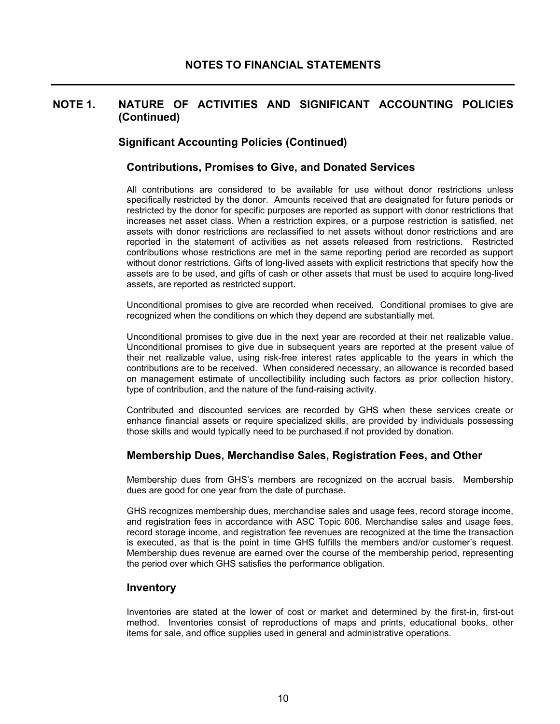### **Significant Accounting Policies (Continued)**

#### **Contributions, Promises to Give, and Donated Services**

All contributions are considered to be available for use without donor restrictions unless specifically restricted by the donor. Amounts received that are designated for future periods or restricted by the donor for specific purposes are reported as support with donor restrictions that increases net asset class. When a restriction expires, or a purpose restriction is satisfied, net assets with donor restrictions are reclassified to net assets without donor restrictions and are reported in the statement of activities as net assets released from restrictions. Restricted contributions whose restrictions are met in the same reporting period are recorded as support without donor restrictions. Gifts of long-lived assets with explicit restrictions that specify how the assets are to be used, and gifts of cash or other assets that must be used to acquire long-lived assets, are reported as restricted support.

Unconditional promises to give are recorded when received. Conditional promises to give are recognized when the conditions on which they depend are substantially met.

Unconditional promises to give due in the next year are recorded at their net realizable value. Unconditional promises to give due in subsequent years are reported at the present value of their net realizable value, using risk-free interest rates applicable to the years in which the contributions are to be received. When considered necessary, an allowance is recorded based on management estimate of uncollectibility including such factors as prior collection history, type of contribution, and the nature of the fund-raising activity.

Contributed and discounted services are recorded by GHS when these services create or enhance financial assets or require specialized skills, are provided by individuals possessing those skills and would typically need to be purchased if not provided by donation.

#### **Membership Dues, Merchandise Sales, Registration Fees, and Other**

Membership dues from GHS's members are recognized on the accrual basis. Membership dues are good for one year from the date of purchase.

GHS recognizes membership dues, merchandise sales and usage fees, record storage income, and registration fees in accordance with ASC Topic 606. Merchandise sales and usage fees, record storage income, and registration fee revenues are recognized at the time the transaction is executed, as that is the point in time GHS fulfills the members and/or customer's request. Membership dues revenue are earned over the course of the membership period, representing the period over which GHS satisfies the performance obligation.

#### **Inventory**

Inventories are stated at the lower of cost or market and determined by the first-in, first-out method. Inventories consist of reproductions of maps and prints, educational books, other items for sale, and office supplies used in general and administrative operations.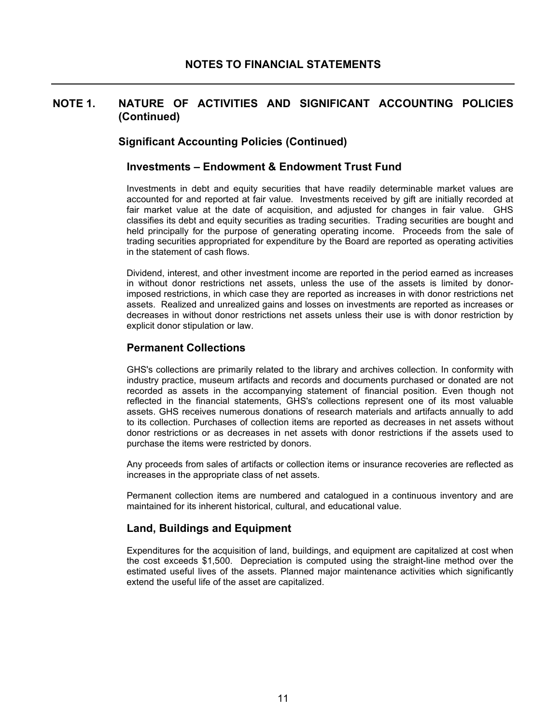### **Significant Accounting Policies (Continued)**

#### **Investments – Endowment & Endowment Trust Fund**

Investments in debt and equity securities that have readily determinable market values are accounted for and reported at fair value. Investments received by gift are initially recorded at fair market value at the date of acquisition, and adjusted for changes in fair value. GHS classifies its debt and equity securities as trading securities. Trading securities are bought and held principally for the purpose of generating operating income. Proceeds from the sale of trading securities appropriated for expenditure by the Board are reported as operating activities in the statement of cash flows.

Dividend, interest, and other investment income are reported in the period earned as increases in without donor restrictions net assets, unless the use of the assets is limited by donorimposed restrictions, in which case they are reported as increases in with donor restrictions net assets. Realized and unrealized gains and losses on investments are reported as increases or decreases in without donor restrictions net assets unless their use is with donor restriction by explicit donor stipulation or law.

#### **Permanent Collections**

GHS's collections are primarily related to the library and archives collection. In conformity with industry practice, museum artifacts and records and documents purchased or donated are not recorded as assets in the accompanying statement of financial position. Even though not reflected in the financial statements, GHS's collections represent one of its most valuable assets. GHS receives numerous donations of research materials and artifacts annually to add to its collection. Purchases of collection items are reported as decreases in net assets without donor restrictions or as decreases in net assets with donor restrictions if the assets used to purchase the items were restricted by donors.

Any proceeds from sales of artifacts or collection items or insurance recoveries are reflected as increases in the appropriate class of net assets.

Permanent collection items are numbered and catalogued in a continuous inventory and are maintained for its inherent historical, cultural, and educational value.

#### **Land, Buildings and Equipment**

Expenditures for the acquisition of land, buildings, and equipment are capitalized at cost when the cost exceeds \$1,500. Depreciation is computed using the straight-line method over the estimated useful lives of the assets. Planned major maintenance activities which significantly extend the useful life of the asset are capitalized.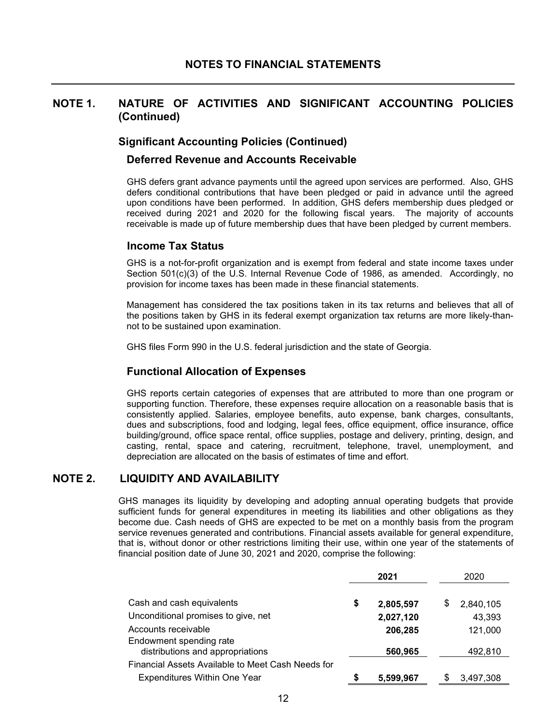#### **Significant Accounting Policies (Continued)**

#### **Deferred Revenue and Accounts Receivable**

GHS defers grant advance payments until the agreed upon services are performed. Also, GHS defers conditional contributions that have been pledged or paid in advance until the agreed upon conditions have been performed. In addition, GHS defers membership dues pledged or received during 2021 and 2020 for the following fiscal years. The majority of accounts receivable is made up of future membership dues that have been pledged by current members.

#### **Income Tax Status**

GHS is a not-for-profit organization and is exempt from federal and state income taxes under Section 501(c)(3) of the U.S. Internal Revenue Code of 1986, as amended. Accordingly, no provision for income taxes has been made in these financial statements.

Management has considered the tax positions taken in its tax returns and believes that all of the positions taken by GHS in its federal exempt organization tax returns are more likely-thannot to be sustained upon examination.

GHS files Form 990 in the U.S. federal jurisdiction and the state of Georgia.

#### **Functional Allocation of Expenses**

GHS reports certain categories of expenses that are attributed to more than one program or supporting function. Therefore, these expenses require allocation on a reasonable basis that is consistently applied. Salaries, employee benefits, auto expense, bank charges, consultants, dues and subscriptions, food and lodging, legal fees, office equipment, office insurance, office building/ground, office space rental, office supplies, postage and delivery, printing, design, and casting, rental, space and catering, recruitment, telephone, travel, unemployment, and depreciation are allocated on the basis of estimates of time and effort.

## **NOTE 2. LIQUIDITY AND AVAILABILITY**

GHS manages its liquidity by developing and adopting annual operating budgets that provide sufficient funds for general expenditures in meeting its liabilities and other obligations as they become due. Cash needs of GHS are expected to be met on a monthly basis from the program service revenues generated and contributions. Financial assets available for general expenditure, that is, without donor or other restrictions limiting their use, within one year of the statements of financial position date of June 30, 2021 and 2020, comprise the following:

|                                                             |    | 2021      | 2020            |
|-------------------------------------------------------------|----|-----------|-----------------|
| Cash and cash equivalents                                   | \$ | 2,805,597 | \$<br>2,840,105 |
| Unconditional promises to give, net                         |    | 2,027,120 | 43,393          |
| Accounts receivable                                         |    | 206,285   | 121,000         |
| Endowment spending rate<br>distributions and appropriations |    | 560,965   | 492,810         |
| Financial Assets Available to Meet Cash Needs for           |    |           |                 |
| Expenditures Within One Year                                | S  | 5,599,967 | 3,497,308       |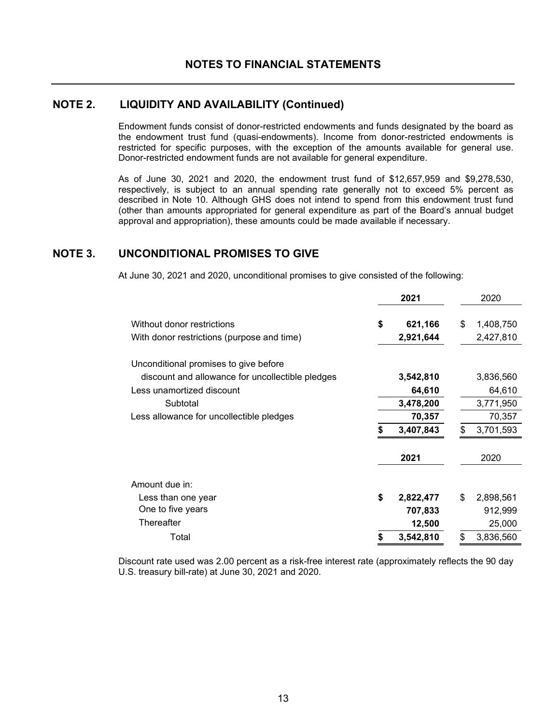## **NOTE 2. LIQUIDITY AND AVAILABILITY (Continued)**

Endowment funds consist of donor-restricted endowments and funds designated by the board as the endowment trust fund (quasi-endowments). Income from donor-restricted endowments is restricted for specific purposes, with the exception of the amounts available for general use. Donor-restricted endowment funds are not available for general expenditure.

As of June 30, 2021 and 2020, the endowment trust fund of \$12,657,959 and \$9,278,530, respectively, is subject to an annual spending rate generally not to exceed 5% percent as described in Note 10. Although GHS does not intend to spend from this endowment trust fund (other than amounts appropriated for general expenditure as part of the Board's annual budget approval and appropriation), these amounts could be made available if necessary.

## **NOTE 3. UNCONDITIONAL PROMISES TO GIVE**

At June 30, 2021 and 2020, unconditional promises to give consisted of the following:

|                                                                          | 2021                       | 2020                         |
|--------------------------------------------------------------------------|----------------------------|------------------------------|
| Without donor restrictions<br>With donor restrictions (purpose and time) | \$<br>621,166<br>2,921,644 | \$<br>1,408,750<br>2,427,810 |
| Unconditional promises to give before                                    |                            |                              |
| discount and allowance for uncollectible pledges                         | 3,542,810                  | 3,836,560                    |
| Less unamortized discount                                                | 64,610                     | 64,610                       |
| Subtotal                                                                 | 3,478,200                  | 3,771,950                    |
| Less allowance for uncollectible pledges                                 | 70,357                     | 70,357                       |
|                                                                          | 3,407,843                  | 3,701,593                    |
|                                                                          | 2021                       | 2020                         |
| Amount due in:                                                           |                            |                              |
| Less than one year                                                       | \$<br>2,822,477            | \$<br>2,898,561              |
| One to five years                                                        | 707,833                    | 912,999                      |
| Thereafter                                                               | 12,500                     | 25,000                       |
| Total                                                                    | \$<br>3,542,810            | \$<br>3,836,560              |

Discount rate used was 2.00 percent as a risk-free interest rate (approximately reflects the 90 day U.S. treasury bill-rate) at June 30, 2021 and 2020.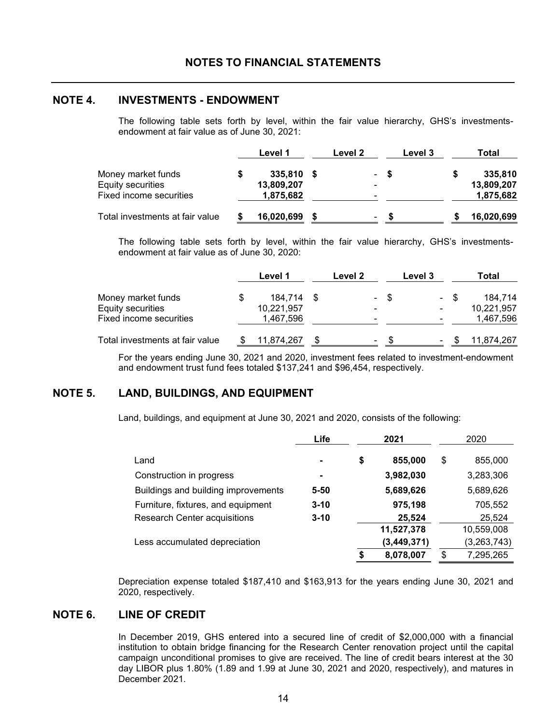#### **NOTE 4. INVESTMENTS - ENDOWMENT**

The following table sets forth by level, within the fair value hierarchy, GHS's investmentsendowment at fair value as of June 30, 2021:

|                                 | Level 1    | Level 2        |      | Level 3 | Total      |
|---------------------------------|------------|----------------|------|---------|------------|
| Money market funds              | 335,810    |                | - \$ |         | 335,810    |
| <b>Equity securities</b>        | 13,809,207 | $\blacksquare$ |      |         | 13,809,207 |
| Fixed income securities         | 1,875,682  | $\blacksquare$ |      |         | 1,875,682  |
| Total investments at fair value | 16,020,699 | ۰              | S    |         | 16,020,699 |

The following table sets forth by level, within the fair value hierarchy, GHS's investmentsendowment at fair value as of June 30, 2020:

|                                 | Level 1    | Level 2                  |      | Level 3 |      | Total      |
|---------------------------------|------------|--------------------------|------|---------|------|------------|
| Money market funds              | 184.714    |                          | - \$ |         | - \$ | 184.714    |
| Equity securities               | 10,221,957 | ۰                        |      |         |      | 10,221,957 |
| Fixed income securities         | 1,467,596  | $\overline{\phantom{a}}$ |      |         |      | 1,467,596  |
| Total investments at fair value | 11,874,267 | ۰                        | \$.  |         |      | 11,874,267 |

For the years ending June 30, 2021 and 2020, investment fees related to investment-endowment and endowment trust fund fees totaled \$137,241 and \$96,454, respectively.

# **NOTE 5. LAND, BUILDINGS, AND EQUIPMENT**

Land, buildings, and equipment at June 30, 2021 and 2020, consists of the following:

|                                     | Life           | 2021            | 2020            |
|-------------------------------------|----------------|-----------------|-----------------|
| Land                                | $\blacksquare$ | \$<br>855,000   | \$<br>855,000   |
| Construction in progress            | ۰              | 3,982,030       | 3,283,306       |
| Buildings and building improvements | $5 - 50$       | 5,689,626       | 5,689,626       |
| Furniture, fixtures, and equipment  | $3 - 10$       | 975,198         | 705,552         |
| <b>Research Center acquisitions</b> | $3 - 10$       | 25,524          | 25,524          |
|                                     |                | 11,527,378      | 10,559,008      |
| Less accumulated depreciation       |                | (3, 449, 371)   | (3,263,743)     |
|                                     |                | \$<br>8,078,007 | \$<br>7,295,265 |

Depreciation expense totaled \$187,410 and \$163,913 for the years ending June 30, 2021 and 2020, respectively.

# **NOTE 6. LINE OF CREDIT**

In December 2019, GHS entered into a secured line of credit of \$2,000,000 with a financial institution to obtain bridge financing for the Research Center renovation project until the capital campaign unconditional promises to give are received. The line of credit bears interest at the 30 day LIBOR plus 1.80% (1.89 and 1.99 at June 30, 2021 and 2020, respectively), and matures in December 2021.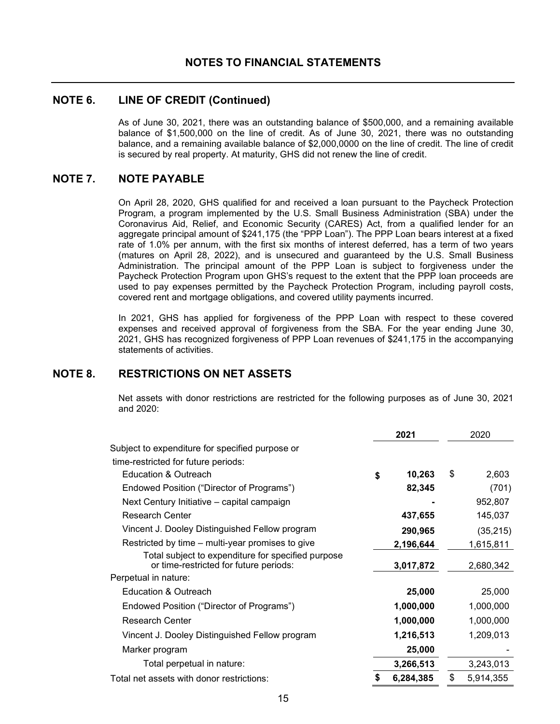### **NOTE 6. LINE OF CREDIT (Continued)**

As of June 30, 2021, there was an outstanding balance of \$500,000, and a remaining available balance of \$1,500,000 on the line of credit. As of June 30, 2021, there was no outstanding balance, and a remaining available balance of \$2,000,0000 on the line of credit. The line of credit is secured by real property. At maturity, GHS did not renew the line of credit.

# **NOTE 7. NOTE PAYABLE**

On April 28, 2020, GHS qualified for and received a loan pursuant to the Paycheck Protection Program, a program implemented by the U.S. Small Business Administration (SBA) under the Coronavirus Aid, Relief, and Economic Security (CARES) Act, from a qualified lender for an aggregate principal amount of \$241,175 (the "PPP Loan"). The PPP Loan bears interest at a fixed rate of 1.0% per annum, with the first six months of interest deferred, has a term of two years (matures on April 28, 2022), and is unsecured and guaranteed by the U.S. Small Business Administration. The principal amount of the PPP Loan is subject to forgiveness under the Paycheck Protection Program upon GHS's request to the extent that the PPP loan proceeds are used to pay expenses permitted by the Paycheck Protection Program, including payroll costs, covered rent and mortgage obligations, and covered utility payments incurred.

In 2021, GHS has applied for forgiveness of the PPP Loan with respect to these covered expenses and received approval of forgiveness from the SBA. For the year ending June 30, 2021, GHS has recognized forgiveness of PPP Loan revenues of \$241,175 in the accompanying statements of activities.

# **NOTE 8. RESTRICTIONS ON NET ASSETS**

Net assets with donor restrictions are restricted for the following purposes as of June 30, 2021 and 2020:

|                                                                                              | 2021 |           | 2020            |  |
|----------------------------------------------------------------------------------------------|------|-----------|-----------------|--|
| Subject to expenditure for specified purpose or                                              |      |           |                 |  |
| time-restricted for future periods:                                                          |      |           |                 |  |
| Education & Outreach                                                                         | \$   | 10,263    | \$<br>2,603     |  |
| Endowed Position ("Director of Programs")                                                    |      | 82,345    | (701)           |  |
| Next Century Initiative – capital campaign                                                   |      |           | 952,807         |  |
| <b>Research Center</b>                                                                       |      | 437,655   | 145,037         |  |
| Vincent J. Dooley Distinguished Fellow program                                               |      | 290,965   | (35, 215)       |  |
| Restricted by time – multi-year promises to give                                             |      | 2,196,644 | 1,615,811       |  |
| Total subject to expenditure for specified purpose<br>or time-restricted for future periods: |      | 3,017,872 | 2,680,342       |  |
| Perpetual in nature:                                                                         |      |           |                 |  |
| Education & Outreach                                                                         |      | 25,000    | 25,000          |  |
| Endowed Position ("Director of Programs")                                                    |      | 1,000,000 | 1,000,000       |  |
| <b>Research Center</b>                                                                       |      | 1,000,000 | 1,000,000       |  |
| Vincent J. Dooley Distinguished Fellow program                                               |      | 1,216,513 | 1,209,013       |  |
| Marker program                                                                               |      | 25,000    |                 |  |
| Total perpetual in nature:                                                                   |      | 3,266,513 | 3,243,013       |  |
| Total net assets with donor restrictions:                                                    | \$   | 6,284,385 | \$<br>5.914.355 |  |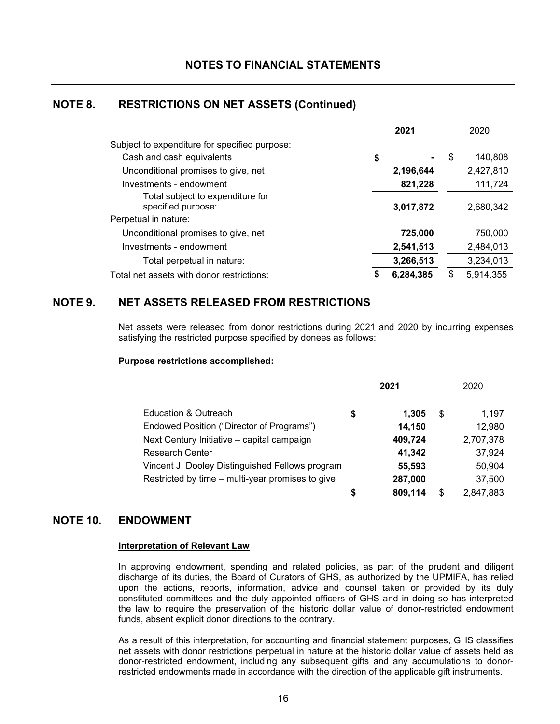# **NOTE 8. RESTRICTIONS ON NET ASSETS (Continued)**

|                                                        | 2021      | 2020          |
|--------------------------------------------------------|-----------|---------------|
| Subject to expenditure for specified purpose:          |           |               |
| Cash and cash equivalents                              | \$        | \$<br>140.808 |
| Unconditional promises to give, net                    | 2,196,644 | 2,427,810     |
| Investments - endowment                                | 821,228   | 111,724       |
| Total subject to expenditure for<br>specified purpose: | 3,017,872 | 2,680,342     |
| Perpetual in nature:                                   |           |               |
| Unconditional promises to give, net                    | 725,000   | 750,000       |
| Investments - endowment                                | 2,541,513 | 2,484,013     |
| Total perpetual in nature:                             | 3,266,513 | 3,234,013     |
| Total net assets with donor restrictions:              | 6,284,385 | 5,914,355     |

# **NOTE 9. NET ASSETS RELEASED FROM RESTRICTIONS**

Net assets were released from donor restrictions during 2021 and 2020 by incurring expenses satisfying the restricted purpose specified by donees as follows:

#### **Purpose restrictions accomplished:**

|                                                  | 2021 |         |     | 2020      |  |
|--------------------------------------------------|------|---------|-----|-----------|--|
|                                                  |      |         |     |           |  |
| Education & Outreach                             | \$   | 1.305   | \$. | 1,197     |  |
| Endowed Position ("Director of Programs")        |      | 14,150  |     | 12,980    |  |
| Next Century Initiative - capital campaign       |      | 409,724 |     | 2,707,378 |  |
| <b>Research Center</b>                           |      | 41,342  |     | 37,924    |  |
| Vincent J. Dooley Distinguished Fellows program  |      | 55,593  |     | 50,904    |  |
| Restricted by time – multi-year promises to give |      | 287,000 |     | 37,500    |  |
|                                                  | \$   | 809,114 | S   | 2,847,883 |  |

### **NOTE 10. ENDOWMENT**

#### **Interpretation of Relevant Law**

In approving endowment, spending and related policies, as part of the prudent and diligent discharge of its duties, the Board of Curators of GHS, as authorized by the UPMIFA, has relied upon the actions, reports, information, advice and counsel taken or provided by its duly constituted committees and the duly appointed officers of GHS and in doing so has interpreted the law to require the preservation of the historic dollar value of donor-restricted endowment funds, absent explicit donor directions to the contrary.

As a result of this interpretation, for accounting and financial statement purposes, GHS classifies net assets with donor restrictions perpetual in nature at the historic dollar value of assets held as donor-restricted endowment, including any subsequent gifts and any accumulations to donorrestricted endowments made in accordance with the direction of the applicable gift instruments.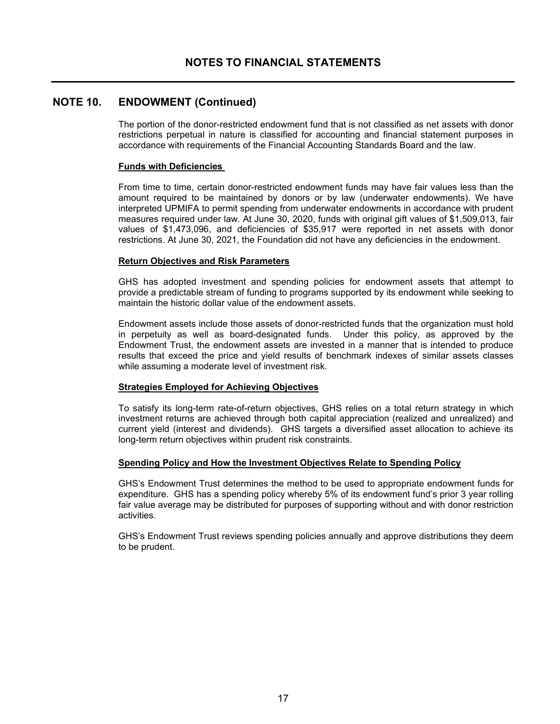## **NOTE 10. ENDOWMENT (Continued)**

The portion of the donor-restricted endowment fund that is not classified as net assets with donor restrictions perpetual in nature is classified for accounting and financial statement purposes in accordance with requirements of the Financial Accounting Standards Board and the law.

#### **Funds with Deficiencies**

From time to time, certain donor-restricted endowment funds may have fair values less than the amount required to be maintained by donors or by law (underwater endowments). We have interpreted UPMIFA to permit spending from underwater endowments in accordance with prudent measures required under law. At June 30, 2020, funds with original gift values of \$1,509,013, fair values of \$1,473,096, and deficiencies of \$35,917 were reported in net assets with donor restrictions. At June 30, 2021, the Foundation did not have any deficiencies in the endowment.

#### **Return Objectives and Risk Parameters**

GHS has adopted investment and spending policies for endowment assets that attempt to provide a predictable stream of funding to programs supported by its endowment while seeking to maintain the historic dollar value of the endowment assets.

Endowment assets include those assets of donor-restricted funds that the organization must hold in perpetuity as well as board-designated funds. Under this policy, as approved by the Endowment Trust, the endowment assets are invested in a manner that is intended to produce results that exceed the price and yield results of benchmark indexes of similar assets classes while assuming a moderate level of investment risk.

#### **Strategies Employed for Achieving Objectives**

To satisfy its long-term rate-of-return objectives, GHS relies on a total return strategy in which investment returns are achieved through both capital appreciation (realized and unrealized) and current yield (interest and dividends). GHS targets a diversified asset allocation to achieve its long-term return objectives within prudent risk constraints.

#### **Spending Policy and How the Investment Objectives Relate to Spending Policy**

GHS's Endowment Trust determines the method to be used to appropriate endowment funds for expenditure. GHS has a spending policy whereby 5% of its endowment fund's prior 3 year rolling fair value average may be distributed for purposes of supporting without and with donor restriction activities.

GHS's Endowment Trust reviews spending policies annually and approve distributions they deem to be prudent.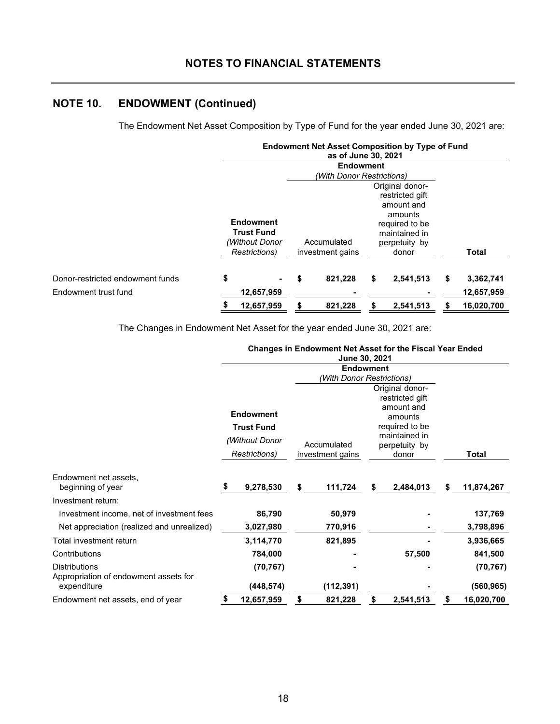# **NOTES TO FINANCIAL STATEMENTS**

# **NOTE 10. ENDOWMENT (Continued)**

The Endowment Net Asset Composition by Type of Fund for the year ended June 30, 2021 are:

|                                  |               |                                       |                  | as of June 30, 2021       | <b>Endowment Net Asset Composition by Type of Fund</b>      |                  |
|----------------------------------|---------------|---------------------------------------|------------------|---------------------------|-------------------------------------------------------------|------------------|
|                                  |               |                                       |                  | <b>Endowment</b>          |                                                             |                  |
|                                  |               |                                       |                  | (With Donor Restrictions) |                                                             |                  |
|                                  |               |                                       |                  |                           | Original donor-<br>restricted gift<br>amount and<br>amounts |                  |
|                                  |               | <b>Endowment</b><br><b>Trust Fund</b> |                  |                           | required to be                                              |                  |
|                                  |               | (Without Donor                        |                  | Accumulated               | maintained in<br>perpetuity by                              |                  |
|                                  | Restrictions) |                                       | investment gains |                           | donor                                                       | <b>Total</b>     |
| Donor-restricted endowment funds | \$            |                                       | \$               | 821,228                   | \$<br>2,541,513                                             | \$<br>3,362,741  |
| Endowment trust fund             |               | 12,657,959                            |                  |                           |                                                             | 12,657,959       |
|                                  | \$            | 12,657,959                            | \$               | 821,228                   | \$<br>2,541,513                                             | \$<br>16,020,700 |

The Changes in Endowment Net Asset for the year ended June 30, 2021 are:

# **Changes in Endowment Net Asset for the Fiscal Year Ended**

|                                                               |                                                                                  |            |                                 | <b>June 30, 2021</b> |                                                                                                                                                       |           |    |            |
|---------------------------------------------------------------|----------------------------------------------------------------------------------|------------|---------------------------------|----------------------|-------------------------------------------------------------------------------------------------------------------------------------------------------|-----------|----|------------|
|                                                               | <b>Endowment</b>                                                                 |            |                                 |                      |                                                                                                                                                       |           |    |            |
|                                                               | <b>Endowment</b><br><b>Trust Fund</b><br>(Without Donor<br><b>Restrictions</b> ) |            | Accumulated<br>investment gains |                      | (With Donor Restrictions)<br>Original donor-<br>restricted gift<br>amount and<br>amounts<br>required to be<br>maintained in<br>perpetuity by<br>donor |           |    | Total      |
| Endowment net assets,<br>beginning of year                    | \$                                                                               | 9,278,530  | \$                              | 111,724              | \$                                                                                                                                                    | 2,484,013 | \$ | 11,874,267 |
| Investment return:                                            |                                                                                  |            |                                 |                      |                                                                                                                                                       |           |    |            |
| Investment income, net of investment fees                     |                                                                                  | 86,790     |                                 | 50,979               |                                                                                                                                                       |           |    | 137,769    |
| Net appreciation (realized and unrealized)                    |                                                                                  | 3,027,980  |                                 | 770,916              |                                                                                                                                                       |           |    | 3,798,896  |
| Total investment return                                       |                                                                                  | 3,114,770  |                                 | 821,895              |                                                                                                                                                       |           |    | 3,936,665  |
| Contributions                                                 |                                                                                  | 784,000    |                                 |                      |                                                                                                                                                       | 57,500    |    | 841,500    |
| <b>Distributions</b><br>Appropriation of endowment assets for |                                                                                  | (70, 767)  |                                 |                      |                                                                                                                                                       |           |    | (70, 767)  |
| expenditure                                                   |                                                                                  | (448,574)  |                                 | (112,391)            |                                                                                                                                                       |           |    | (560,965)  |
| Endowment net assets, end of year                             | \$                                                                               | 12,657,959 | \$                              | 821,228              | \$                                                                                                                                                    | 2,541,513 | \$ | 16,020,700 |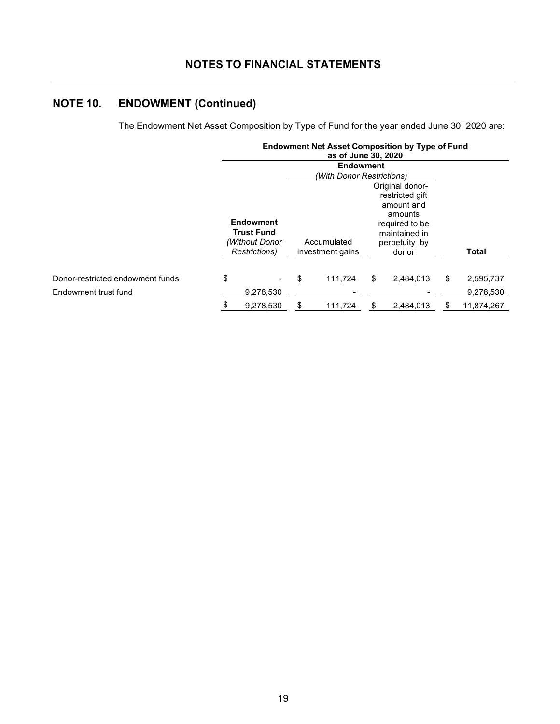# **NOTES TO FINANCIAL STATEMENTS**

# **NOTE 10. ENDOWMENT (Continued)**

The Endowment Net Asset Composition by Type of Fund for the year ended June 30, 2020 are:

|                                  |                                                                          | as of June 30, 2020             | <b>Endowment Net Asset Composition by Type of Fund</b>                                                                   |                  |
|----------------------------------|--------------------------------------------------------------------------|---------------------------------|--------------------------------------------------------------------------------------------------------------------------|------------------|
|                                  |                                                                          | <b>Endowment</b>                |                                                                                                                          |                  |
|                                  |                                                                          | (With Donor Restrictions)       |                                                                                                                          |                  |
|                                  | <b>Endowment</b><br><b>Trust Fund</b><br>(Without Donor<br>Restrictions) | Accumulated<br>investment gains | Original donor-<br>restricted gift<br>amount and<br>amounts<br>required to be<br>maintained in<br>perpetuity by<br>donor | <b>Total</b>     |
| Donor-restricted endowment funds | \$                                                                       | \$<br>111.724                   | \$<br>2,484,013                                                                                                          | \$<br>2,595,737  |
| Endowment trust fund             | 9,278,530                                                                |                                 |                                                                                                                          | 9,278,530        |
|                                  | \$<br>9,278,530                                                          | \$<br>111,724                   | \$<br>2,484,013                                                                                                          | \$<br>11,874,267 |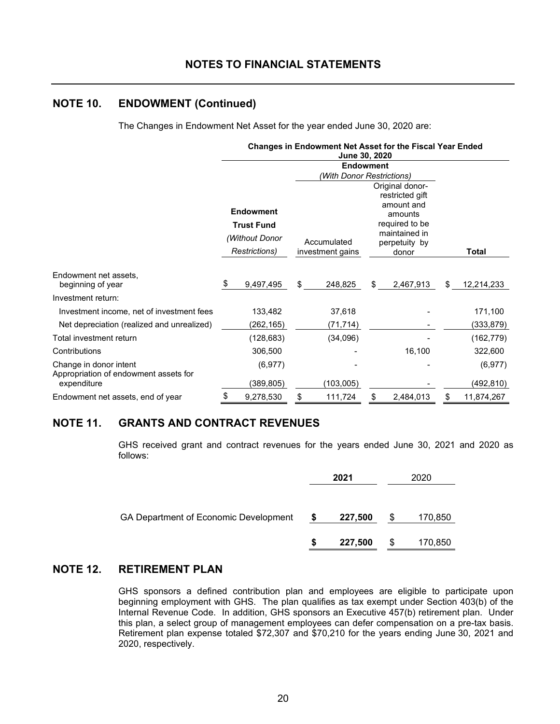# **NOTES TO FINANCIAL STATEMENTS**

# **NOTE 10. ENDOWMENT (Continued)**

The Changes in Endowment Net Asset for the year ended June 30, 2020 are:

|                                                                 |                  | <b>Changes in Endowment Net Asset for the Fiscal Year Ended</b> |                                 |                           |                                                             |           |    |            |
|-----------------------------------------------------------------|------------------|-----------------------------------------------------------------|---------------------------------|---------------------------|-------------------------------------------------------------|-----------|----|------------|
|                                                                 |                  |                                                                 |                                 |                           |                                                             |           |    |            |
|                                                                 |                  |                                                                 |                                 | (With Donor Restrictions) |                                                             |           |    |            |
|                                                                 | <b>Endowment</b> |                                                                 |                                 |                           | Original donor-<br>restricted gift<br>amount and<br>amounts |           |    |            |
|                                                                 |                  | <b>Trust Fund</b><br>(Without Donor<br>Restrictions)            | Accumulated<br>investment gains |                           | required to be<br>maintained in<br>perpetuity by<br>donor   |           |    | Total      |
| Endowment net assets,<br>beginning of year                      | \$               | 9,497,495                                                       | \$                              | 248,825                   | \$                                                          | 2,467,913 | \$ | 12,214,233 |
| Investment return:                                              |                  |                                                                 |                                 |                           |                                                             |           |    |            |
| Investment income, net of investment fees                       |                  | 133,482                                                         |                                 | 37,618                    |                                                             |           |    | 171,100    |
| Net depreciation (realized and unrealized)                      |                  | (262,165)                                                       |                                 | (71, 714)                 |                                                             |           |    | (333, 879) |
| Total investment return                                         |                  | (128, 683)                                                      |                                 | (34,096)                  |                                                             |           |    | (162, 779) |
| Contributions                                                   |                  | 306,500                                                         |                                 |                           |                                                             | 16,100    |    | 322,600    |
| Change in donor intent<br>Appropriation of endowment assets for |                  | (6, 977)                                                        |                                 |                           |                                                             |           |    | (6, 977)   |
| expenditure                                                     |                  | (389, 805)                                                      |                                 | (103,005)                 |                                                             |           |    | (492,810)  |
| Endowment net assets, end of year                               | \$               | 9,278,530                                                       | \$                              | 111,724                   | \$                                                          | 2,484,013 | \$ | 11,874,267 |

# **NOTE 11. GRANTS AND CONTRACT REVENUES**

GHS received grant and contract revenues for the years ended June 30, 2021 and 2020 as follows:

|                                       |   | 2021    |    | 2020    |
|---------------------------------------|---|---------|----|---------|
|                                       |   |         |    |         |
| GA Department of Economic Development | S | 227,500 | S  | 170,850 |
|                                       | S | 227,500 | \$ | 170,850 |

# **NOTE 12. RETIREMENT PLAN**

GHS sponsors a defined contribution plan and employees are eligible to participate upon beginning employment with GHS. The plan qualifies as tax exempt under Section 403(b) of the Internal Revenue Code. In addition, GHS sponsors an Executive 457(b) retirement plan. Under this plan, a select group of management employees can defer compensation on a pre-tax basis. Retirement plan expense totaled \$72,307 and \$70,210 for the years ending June 30, 2021 and 2020, respectively.